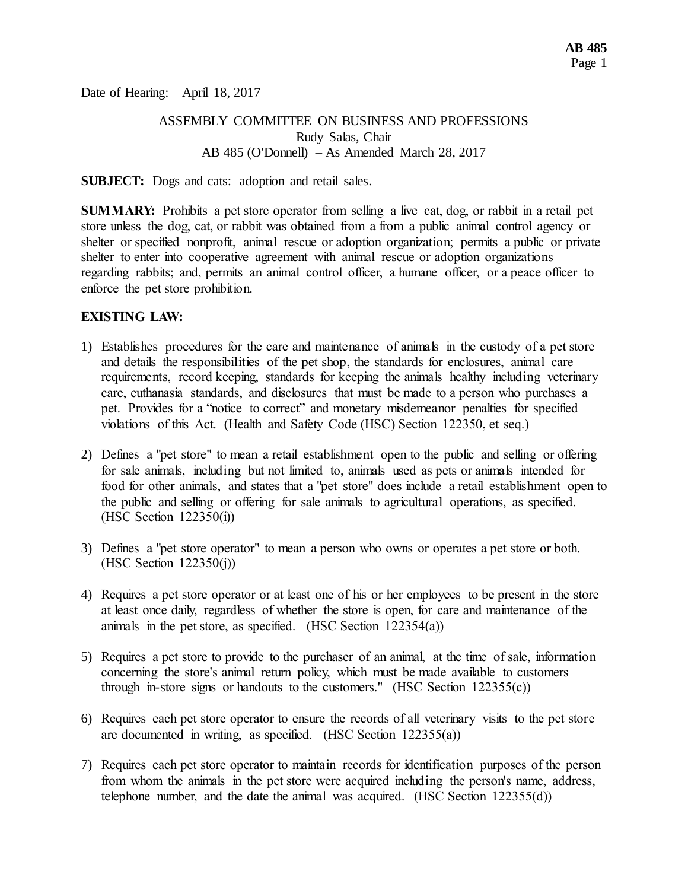Date of Hearing: April 18, 2017

## ASSEMBLY COMMITTEE ON BUSINESS AND PROFESSIONS Rudy Salas, Chair AB 485 (O'Donnell) – As Amended March 28, 2017

**SUBJECT:** Dogs and cats: adoption and retail sales.

**SUMMARY:** Prohibits a pet store operator from selling a live cat, dog, or rabbit in a retail pet store unless the dog, cat, or rabbit was obtained from a from a public animal control agency or shelter or specified nonprofit, animal rescue or adoption organization; permits a public or private shelter to enter into cooperative agreement with animal rescue or adoption organizations regarding rabbits; and, permits an animal control officer, a humane officer, or a peace officer to enforce the pet store prohibition.

## **EXISTING LAW:**

- 1) Establishes procedures for the care and maintenance of animals in the custody of a pet store and details the responsibilities of the pet shop, the standards for enclosures, animal care requirements, record keeping, standards for keeping the animals healthy including veterinary care, euthanasia standards, and disclosures that must be made to a person who purchases a pet. Provides for a "notice to correct" and monetary misdemeanor penalties for specified violations of this Act. (Health and Safety Code (HSC) Section 122350, et seq.)
- 2) Defines a "pet store" to mean a retail establishment open to the public and selling or offering for sale animals, including but not limited to, animals used as pets or animals intended for food for other animals, and states that a "pet store" does include a retail establishment open to the public and selling or offering for sale animals to agricultural operations, as specified. (HSC Section 122350(i))
- 3) Defines a "pet store operator" to mean a person who owns or operates a pet store or both. (HSC Section 122350(j))
- 4) Requires a pet store operator or at least one of his or her employees to be present in the store at least once daily, regardless of whether the store is open, for care and maintenance of the animals in the pet store, as specified. (HSC Section 122354(a))
- 5) Requires a pet store to provide to the purchaser of an animal, at the time of sale, information concerning the store's animal return policy, which must be made available to customers through in-store signs or handouts to the customers." (HSC Section  $122355(c)$ )
- 6) Requires each pet store operator to ensure the records of all veterinary visits to the pet store are documented in writing, as specified. (HSC Section 122355(a))
- 7) Requires each pet store operator to maintain records for identification purposes of the person from whom the animals in the pet store were acquired including the person's name, address, telephone number, and the date the animal was acquired. (HSC Section 122355(d))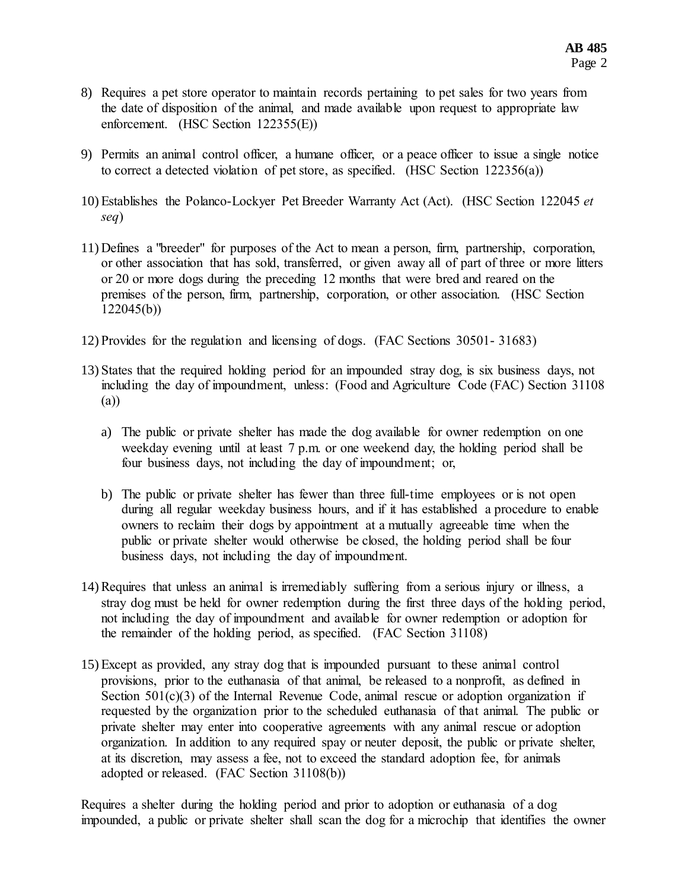- 8) Requires a pet store operator to maintain records pertaining to pet sales for two years from the date of disposition of the animal, and made available upon request to appropriate law enforcement. (HSC Section 122355(E))
- 9) Permits an animal control officer, a humane officer, or a peace officer to issue a single notice to correct a detected violation of pet store, as specified. (HSC Section 122356(a))
- 10) Establishes the Polanco-Lockyer Pet Breeder Warranty Act (Act). (HSC Section 122045 *et seq*)
- 11) Defines a "breeder" for purposes of the Act to mean a person, firm, partnership, corporation, or other association that has sold, transferred, or given away all of part of three or more litters or 20 or more dogs during the preceding 12 months that were bred and reared on the premises of the person, firm, partnership, corporation, or other association. (HSC Section 122045(b))
- 12) Provides for the regulation and licensing of dogs. (FAC Sections 30501- 31683)
- 13) States that the required holding period for an impounded stray dog, is six business days, not including the day of impoundment, unless: (Food and Agriculture Code (FAC) Section 31108 (a))
	- a) The public or private shelter has made the dog available for owner redemption on one weekday evening until at least 7 p.m. or one weekend day, the holding period shall be four business days, not including the day of impoundment; or,
	- b) The public or private shelter has fewer than three full-time employees or is not open during all regular weekday business hours, and if it has established a procedure to enable owners to reclaim their dogs by appointment at a mutually agreeable time when the public or private shelter would otherwise be closed, the holding period shall be four business days, not including the day of impoundment.
- 14) Requires that unless an animal is irremediably suffering from a serious injury or illness, a stray dog must be held for owner redemption during the first three days of the holding period, not including the day of impoundment and available for owner redemption or adoption for the remainder of the holding period, as specified. (FAC Section 31108)
- 15) Except as provided, any stray dog that is impounded pursuant to these animal control provisions, prior to the euthanasia of that animal, be released to a nonprofit, as defined in Section  $501(c)(3)$  of the Internal Revenue Code, animal rescue or adoption organization if requested by the organization prior to the scheduled euthanasia of that animal. The public or private shelter may enter into cooperative agreements with any animal rescue or adoption organization. In addition to any required spay or neuter deposit, the public or private shelter, at its discretion, may assess a fee, not to exceed the standard adoption fee, for animals adopted or released. (FAC Section 31108(b))

Requires a shelter during the holding period and prior to adoption or euthanasia of a dog impounded, a public or private shelter shall scan the dog for a microchip that identifies the owner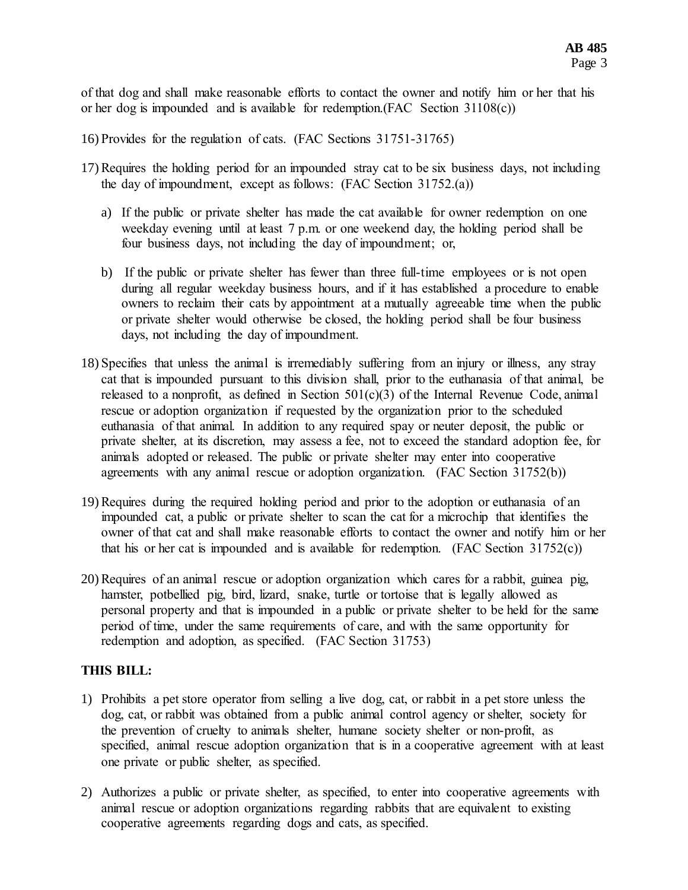of that dog and shall make reasonable efforts to contact the owner and notify him or her that his or her dog is impounded and is available for redemption.(FAC Section 31108(c))

- 16) Provides for the regulation of cats. (FAC Sections 31751-31765)
- 17) Requires the holding period for an impounded stray cat to be six business days, not including the day of impoundment, except as follows: (FAC Section 31752.(a))
	- a) If the public or private shelter has made the cat available for owner redemption on one weekday evening until at least 7 p.m. or one weekend day, the holding period shall be four business days, not including the day of impoundment; or,
	- b) If the public or private shelter has fewer than three full-time employees or is not open during all regular weekday business hours, and if it has established a procedure to enable owners to reclaim their cats by appointment at a mutually agreeable time when the public or private shelter would otherwise be closed, the holding period shall be four business days, not including the day of impoundment.
- 18) Specifies that unless the animal is irremediably suffering from an injury or illness, any stray cat that is impounded pursuant to this division shall, prior to the euthanasia of that animal, be released to a nonprofit, as defined in Section 501(c)(3) of the Internal Revenue Code, animal rescue or adoption organization if requested by the organization prior to the scheduled euthanasia of that animal. In addition to any required spay or neuter deposit, the public or private shelter, at its discretion, may assess a fee, not to exceed the standard adoption fee, for animals adopted or released. The public or private shelter may enter into cooperative agreements with any animal rescue or adoption organization. (FAC Section 31752(b))
- 19) Requires during the required holding period and prior to the adoption or euthanasia of an impounded cat, a public or private shelter to scan the cat for a microchip that identifies the owner of that cat and shall make reasonable efforts to contact the owner and notify him or her that his or her cat is impounded and is available for redemption. (FAC Section 31752(c))
- 20) Requires of an animal rescue or adoption organization which cares for a rabbit, guinea pig, hamster, potbellied pig, bird, lizard, snake, turtle or tortoise that is legally allowed as personal property and that is impounded in a public or private shelter to be held for the same period of time, under the same requirements of care, and with the same opportunity for redemption and adoption, as specified. (FAC Section 31753)

# **THIS BILL:**

- 1) Prohibits a pet store operator from selling a live dog, cat, or rabbit in a pet store unless the dog, cat, or rabbit was obtained from a public animal control agency or shelter, society for the prevention of cruelty to animals shelter, humane society shelter or non-profit, as specified, animal rescue adoption organization that is in a cooperative agreement with at least one private or public shelter, as specified.
- 2) Authorizes a public or private shelter, as specified, to enter into cooperative agreements with animal rescue or adoption organizations regarding rabbits that are equivalent to existing cooperative agreements regarding dogs and cats, as specified.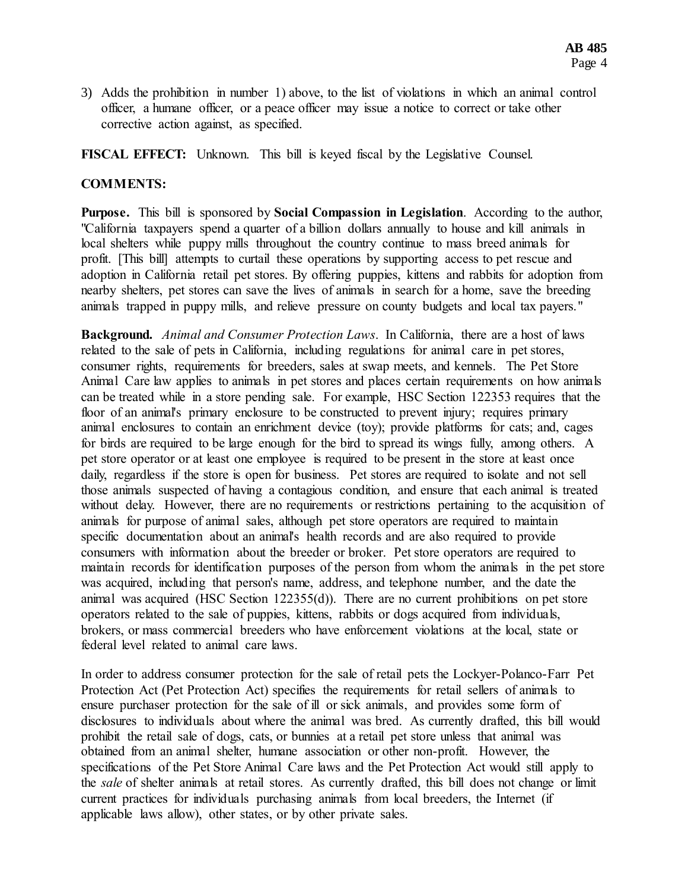3) Adds the prohibition in number 1) above, to the list of violations in which an animal control officer, a humane officer, or a peace officer may issue a notice to correct or take other corrective action against, as specified.

**FISCAL EFFECT:** Unknown. This bill is keyed fiscal by the Legislative Counsel.

## **COMMENTS:**

**Purpose.** This bill is sponsored by **Social Compassion in Legislation**. According to the author, "California taxpayers spend a quarter of a billion dollars annually to house and kill animals in local shelters while puppy mills throughout the country continue to mass breed animals for profit. [This bill] attempts to curtail these operations by supporting access to pet rescue and adoption in California retail pet stores. By offering puppies, kittens and rabbits for adoption from nearby shelters, pet stores can save the lives of animals in search for a home, save the breeding animals trapped in puppy mills, and relieve pressure on county budgets and local tax payers."

**Background.** *Animal and Consumer Protection Laws*. In California, there are a host of laws related to the sale of pets in California, including regulations for animal care in pet stores, consumer rights, requirements for breeders, sales at swap meets, and kennels. The Pet Store Animal Care law applies to animals in pet stores and places certain requirements on how animals can be treated while in a store pending sale. For example, HSC Section 122353 requires that the floor of an animal's primary enclosure to be constructed to prevent injury; requires primary animal enclosures to contain an enrichment device (toy); provide platforms for cats; and, cages for birds are required to be large enough for the bird to spread its wings fully, among others. A pet store operator or at least one employee is required to be present in the store at least once daily, regardless if the store is open for business. Pet stores are required to isolate and not sell those animals suspected of having a contagious condition, and ensure that each animal is treated without delay. However, there are no requirements or restrictions pertaining to the acquisition of animals for purpose of animal sales, although pet store operators are required to maintain specific documentation about an animal's health records and are also required to provide consumers with information about the breeder or broker. Pet store operators are required to maintain records for identification purposes of the person from whom the animals in the pet store was acquired, including that person's name, address, and telephone number, and the date the animal was acquired (HSC Section 122355(d)). There are no current prohibitions on pet store operators related to the sale of puppies, kittens, rabbits or dogs acquired from individuals, brokers, or mass commercial breeders who have enforcement violations at the local, state or federal level related to animal care laws.

In order to address consumer protection for the sale of retail pets the Lockyer-Polanco-Farr Pet Protection Act (Pet Protection Act) specifies the requirements for retail sellers of animals to ensure purchaser protection for the sale of ill or sick animals, and provides some form of disclosures to individuals about where the animal was bred. As currently drafted, this bill would prohibit the retail sale of dogs, cats, or bunnies at a retail pet store unless that animal was obtained from an animal shelter, humane association or other non-profit. However, the specifications of the Pet Store Animal Care laws and the Pet Protection Act would still apply to the *sale* of shelter animals at retail stores. As currently drafted, this bill does not change or limit current practices for individuals purchasing animals from local breeders, the Internet (if applicable laws allow), other states, or by other private sales.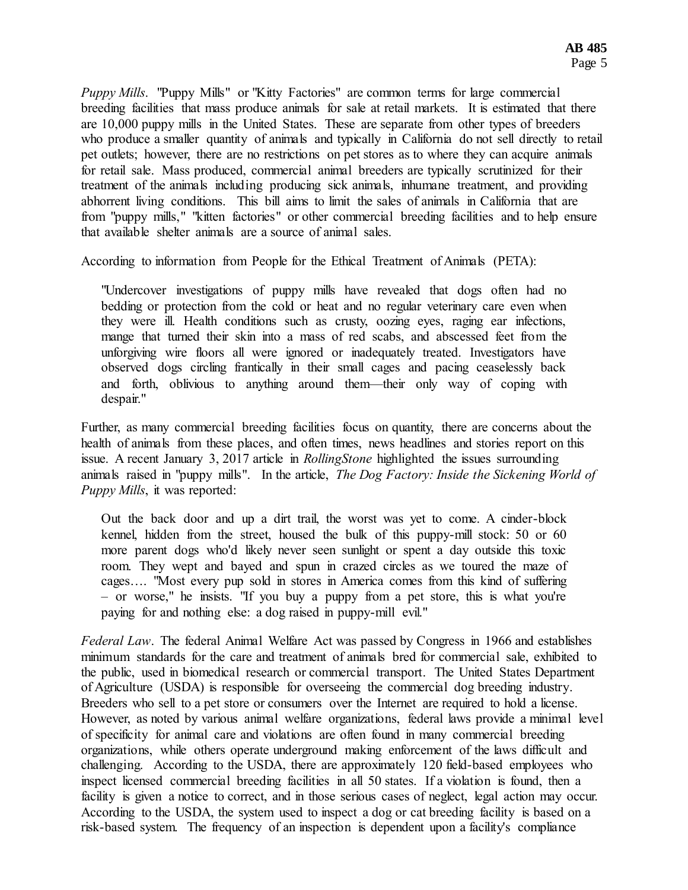*Puppy Mills*. "Puppy Mills" or "Kitty Factories" are common terms for large commercial breeding facilities that mass produce animals for sale at retail markets. It is estimated that there are 10,000 puppy mills in the United States. These are separate from other types of breeders who produce a smaller quantity of animals and typically in California do not sell directly to retail pet outlets; however, there are no restrictions on pet stores as to where they can acquire animals for retail sale. Mass produced, commercial animal breeders are typically scrutinized for their treatment of the animals including producing sick animals, inhumane treatment, and providing abhorrent living conditions. This bill aims to limit the sales of animals in California that are from "puppy mills," "kitten factories" or other commercial breeding facilities and to help ensure that available shelter animals are a source of animal sales.

According to information from People for the Ethical Treatment of Animals (PETA):

"Undercover investigations of puppy mills have revealed that dogs often had no bedding or protection from the cold or heat and no regular veterinary care even when they were ill. Health conditions such as crusty, oozing eyes, raging ear infections, mange that turned their skin into a mass of red scabs, and abscessed feet from the unforgiving wire floors all were ignored or inadequately treated. Investigators have observed dogs circling frantically in their small cages and pacing ceaselessly back and forth, oblivious to anything around them—their only way of coping with despair."

Further, as many commercial breeding facilities focus on quantity, there are concerns about the health of animals from these places, and often times, news headlines and stories report on this issue. A recent January 3, 2017 article in *RollingStone* highlighted the issues surrounding animals raised in "puppy mills". In the article, *The Dog Factory: Inside the Sickening World of Puppy Mills*, it was reported:

Out the back door and up a dirt trail, the worst was yet to come. A cinder-block kennel, hidden from the street, housed the bulk of this puppy-mill stock: 50 or 60 more parent dogs who'd likely never seen sunlight or spent a day outside this toxic room. They wept and bayed and spun in crazed circles as we toured the maze of cages…. "Most every pup sold in stores in America comes from this kind of suffering – or worse," he insists. "If you buy a puppy from a pet store, this is what you're paying for and nothing else: a dog raised in puppy-mill evil."

*Federal Law*. The federal Animal Welfare Act was passed by Congress in 1966 and establishes minimum standards for the care and treatment of animals bred for commercial sale, exhibited to the public, used in biomedical research or commercial transport. The United States Department of Agriculture (USDA) is responsible for overseeing the commercial dog breeding industry. Breeders who sell to a pet store or consumers over the Internet are required to hold a license. However, as noted by various animal welfare organizations, federal laws provide a minimal level of specificity for animal care and violations are often found in many commercial breeding organizations, while others operate underground making enforcement of the laws difficult and challenging. According to the USDA, there are approximately 120 field-based employees who inspect licensed commercial breeding facilities in all 50 states. If a violation is found, then a facility is given a notice to correct, and in those serious cases of neglect, legal action may occur. According to the USDA, the system used to inspect a dog or cat breeding facility is based on a risk-based system. The frequency of an inspection is dependent upon a facility's compliance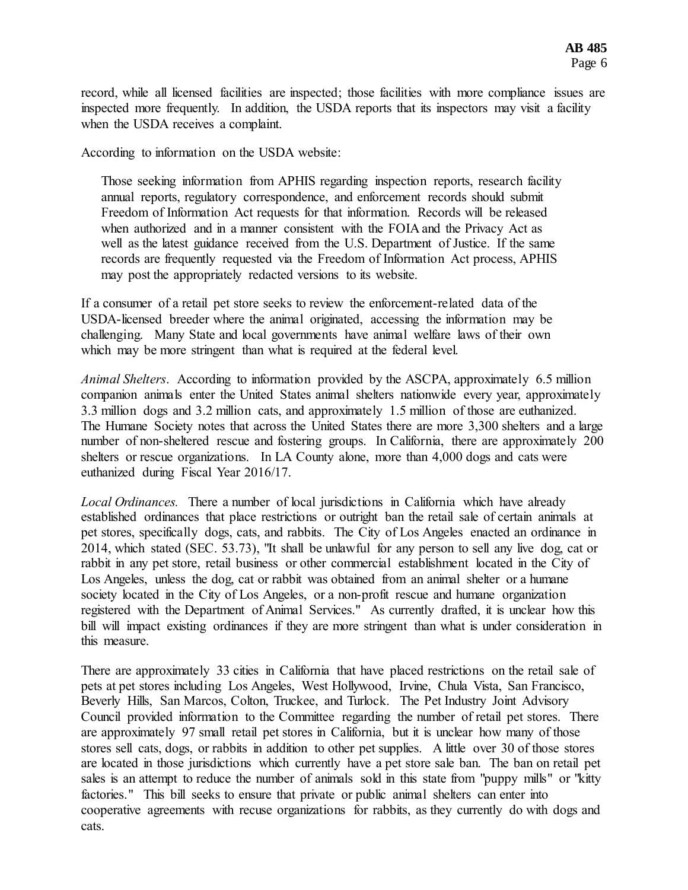record, while all licensed facilities are inspected; those facilities with more compliance issues are inspected more frequently. In addition, the USDA reports that its inspectors may visit a facility when the USDA receives a complaint.

According to information on the USDA website:

Those seeking information from APHIS regarding inspection reports, research facility annual reports, regulatory correspondence, and enforcement records should submit Freedom of Information Act requests for that information. Records will be released when authorized and in a manner consistent with the FOIA and the Privacy Act as well as the latest guidance received from the U.S. Department of Justice. If the same records are frequently requested via the Freedom of Information Act process, APHIS may post the appropriately redacted versions to its website.

If a consumer of a retail pet store seeks to review the enforcement-related data of the USDA-licensed breeder where the animal originated, accessing the information may be challenging. Many State and local governments have animal welfare laws of their own which may be more stringent than what is required at the federal level.

*Animal Shelters*. According to information provided by the ASCPA, approximately 6.5 million companion animals enter the United States animal shelters nationwide every year, approximately 3.3 million dogs and 3.2 million cats, and approximately 1.5 million of those are euthanized. The Humane Society notes that across the United States there are more 3,300 shelters and a large number of non-sheltered rescue and fostering groups. In California, there are approximately 200 shelters or rescue organizations. In LA County alone, more than 4,000 dogs and cats were euthanized during Fiscal Year 2016/17.

*Local Ordinances.* There a number of local jurisdictions in California which have already established ordinances that place restrictions or outright ban the retail sale of certain animals at pet stores, specifically dogs, cats, and rabbits. The City of Los Angeles enacted an ordinance in 2014, which stated (SEC. 53.73), "It shall be unlawful for any person to sell any live dog, cat or rabbit in any pet store, retail business or other commercial establishment located in the City of Los Angeles, unless the dog, cat or rabbit was obtained from an animal shelter or a humane society located in the City of Los Angeles, or a non-profit rescue and humane organization registered with the Department of Animal Services." As currently drafted, it is unclear how this bill will impact existing ordinances if they are more stringent than what is under consideration in this measure.

There are approximately 33 cities in California that have placed restrictions on the retail sale of pets at pet stores including Los Angeles, West Hollywood, Irvine, Chula Vista, San Francisco, Beverly Hills, San Marcos, Colton, Truckee, and Turlock. The Pet Industry Joint Advisory Council provided information to the Committee regarding the number of retail pet stores. There are approximately 97 small retail pet stores in California, but it is unclear how many of those stores sell cats, dogs, or rabbits in addition to other pet supplies. A little over 30 of those stores are located in those jurisdictions which currently have a pet store sale ban. The ban on retail pet sales is an attempt to reduce the number of animals sold in this state from "puppy mills" or "kitty factories." This bill seeks to ensure that private or public animal shelters can enter into cooperative agreements with recuse organizations for rabbits, as they currently do with dogs and cats.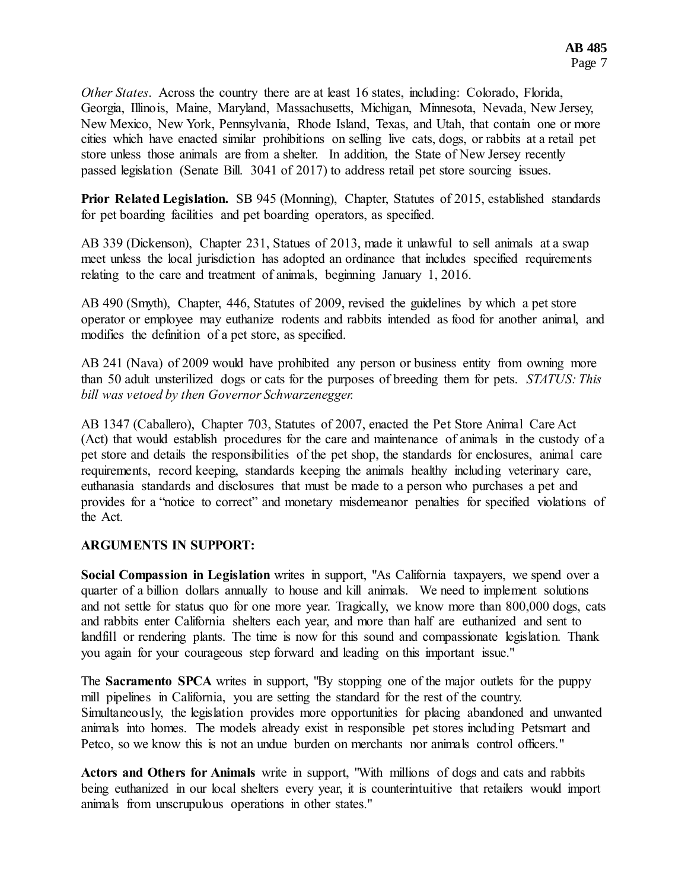*Other States*. Across the country there are at least 16 states, including: Colorado, Florida, Georgia, Illinois, Maine, Maryland, Massachusetts, Michigan, Minnesota, Nevada, New Jersey, New Mexico, New York, Pennsylvania, Rhode Island, Texas, and Utah, that contain one or more cities which have enacted similar prohibitions on selling live cats, dogs, or rabbits at a retail pet store unless those animals are from a shelter. In addition, the State of New Jersey recently passed legislation (Senate Bill. 3041 of 2017) to address retail pet store sourcing issues.

**Prior Related Legislation.** SB 945 (Monning), Chapter, Statutes of 2015, established standards for pet boarding facilities and pet boarding operators, as specified.

AB 339 (Dickenson), Chapter 231, Statues of 2013, made it unlawful to sell animals at a swap meet unless the local jurisdiction has adopted an ordinance that includes specified requirements relating to the care and treatment of animals, beginning January 1, 2016.

AB 490 (Smyth), Chapter, 446, Statutes of 2009, revised the guidelines by which a pet store operator or employee may euthanize rodents and rabbits intended as food for another animal, and modifies the definition of a pet store, as specified.

AB 241 (Nava) of 2009 would have prohibited any person or business entity from owning more than 50 adult unsterilized dogs or cats for the purposes of breeding them for pets. *STATUS: This bill was vetoed by then Governor Schwarzenegger.*

AB 1347 (Caballero), Chapter 703, Statutes of 2007, enacted the Pet Store Animal Care Act (Act) that would establish procedures for the care and maintenance of animals in the custody of a pet store and details the responsibilities of the pet shop, the standards for enclosures, animal care requirements, record keeping, standards keeping the animals healthy including veterinary care, euthanasia standards and disclosures that must be made to a person who purchases a pet and provides for a "notice to correct" and monetary misdemeanor penalties for specified violations of the Act.

# **ARGUMENTS IN SUPPORT:**

**Social Compassion in Legislation** writes in support, "As California taxpayers, we spend over a quarter of a billion dollars annually to house and kill animals. We need to implement solutions and not settle for status quo for one more year. Tragically, we know more than 800,000 dogs, cats and rabbits enter California shelters each year, and more than half are euthanized and sent to landfill or rendering plants. The time is now for this sound and compassionate legislation. Thank you again for your courageous step forward and leading on this important issue."

The **Sacramento SPCA** writes in support, "By stopping one of the major outlets for the puppy mill pipelines in California, you are setting the standard for the rest of the country. Simultaneously, the legislation provides more opportunities for placing abandoned and unwanted animals into homes. The models already exist in responsible pet stores including Petsmart and Petco, so we know this is not an undue burden on merchants nor animals control officers."

**Actors and Others for Animals** write in support, "With millions of dogs and cats and rabbits being euthanized in our local shelters every year, it is counterintuitive that retailers would import animals from unscrupulous operations in other states."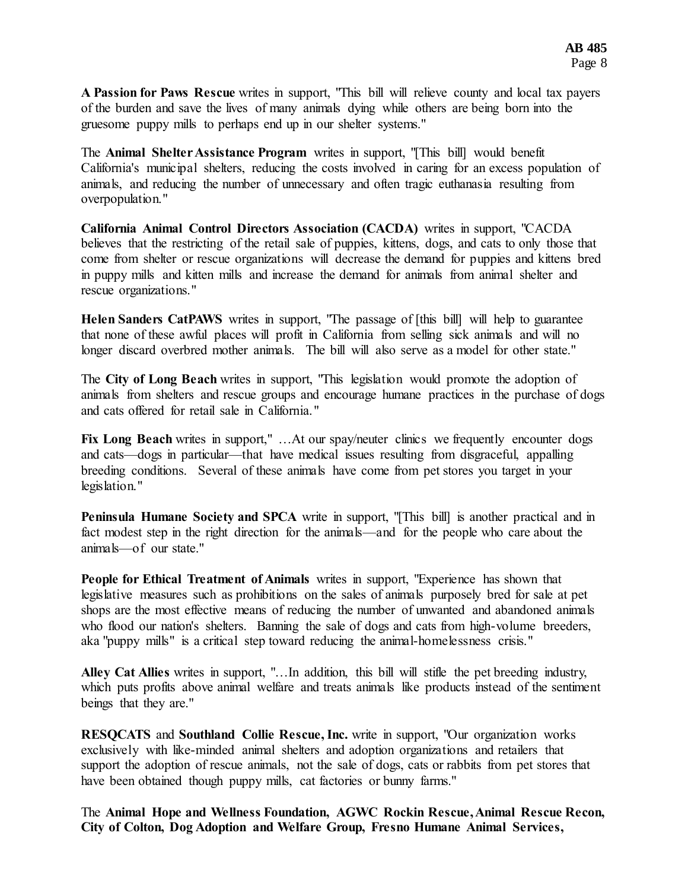**A Passion for Paws Rescue** writes in support, "This bill will relieve county and local tax payers of the burden and save the lives of many animals dying while others are being born into the gruesome puppy mills to perhaps end up in our shelter systems."

The **Animal Shelter Assistance Program** writes in support, "[This bill] would benefit California's municipal shelters, reducing the costs involved in caring for an excess population of animals, and reducing the number of unnecessary and often tragic euthanasia resulting from overpopulation."

**California Animal Control Directors Association (CACDA)** writes in support, "CACDA believes that the restricting of the retail sale of puppies, kittens, dogs, and cats to only those that come from shelter or rescue organizations will decrease the demand for puppies and kittens bred in puppy mills and kitten mills and increase the demand for animals from animal shelter and rescue organizations."

**Helen Sanders CatPAWS** writes in support, "The passage of [this bill] will help to guarantee that none of these awful places will profit in California from selling sick animals and will no longer discard overbred mother animals. The bill will also serve as a model for other state."

The **City of Long Beach** writes in support, "This legislation would promote the adoption of animals from shelters and rescue groups and encourage humane practices in the purchase of dogs and cats offered for retail sale in California."

Fix Long Beach writes in support," ... At our spay/neuter clinics we frequently encounter dogs and cats—dogs in particular—that have medical issues resulting from disgraceful, appalling breeding conditions. Several of these animals have come from pet stores you target in your legislation."

**Peninsula Humane Society and SPCA** write in support, "[This bill] is another practical and in fact modest step in the right direction for the animals—and for the people who care about the animals—of our state."

**People for Ethical Treatment of Animals** writes in support, "Experience has shown that legislative measures such as prohibitions on the sales of animals purposely bred for sale at pet shops are the most effective means of reducing the number of unwanted and abandoned animals who flood our nation's shelters. Banning the sale of dogs and cats from high-volume breeders, aka "puppy mills" is a critical step toward reducing the animal-homelessness crisis."

**Alley Cat Allies** writes in support, "…In addition, this bill will stifle the pet breeding industry, which puts profits above animal welfare and treats animals like products instead of the sentiment beings that they are."

**RESQCATS** and **Southland Collie Rescue, Inc.** write in support, "Our organization works exclusively with like-minded animal shelters and adoption organizations and retailers that support the adoption of rescue animals, not the sale of dogs, cats or rabbits from pet stores that have been obtained though puppy mills, cat factories or bunny farms."

The **Animal Hope and Wellness Foundation, AGWC Rockin Rescue, Animal Rescue Recon, City of Colton, Dog Adoption and Welfare Group, Fresno Humane Animal Services,**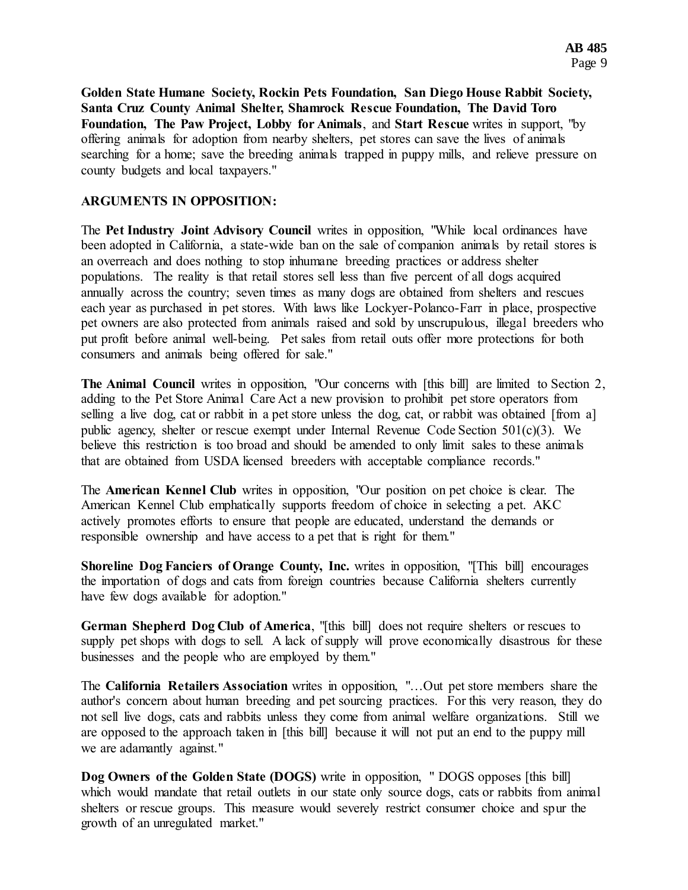**Golden State Humane Society, Rockin Pets Foundation, San Diego House Rabbit Society, Santa Cruz County Animal Shelter, Shamrock Rescue Foundation, The David Toro Foundation, The Paw Project, Lobby for Animals**, and **Start Rescue** writes in support, "by offering animals for adoption from nearby shelters, pet stores can save the lives of animals searching for a home; save the breeding animals trapped in puppy mills, and relieve pressure on county budgets and local taxpayers."

### **ARGUMENTS IN OPPOSITION:**

The **Pet Industry Joint Advisory Council** writes in opposition, "While local ordinances have been adopted in California, a state-wide ban on the sale of companion animals by retail stores is an overreach and does nothing to stop inhumane breeding practices or address shelter populations. The reality is that retail stores sell less than five percent of all dogs acquired annually across the country; seven times as many dogs are obtained from shelters and rescues each year as purchased in pet stores. With laws like Lockyer-Polanco-Farr in place, prospective pet owners are also protected from animals raised and sold by unscrupulous, illegal breeders who put profit before animal well-being. Pet sales from retail outs offer more protections for both consumers and animals being offered for sale."

**The Animal Council** writes in opposition, "Our concerns with [this bill] are limited to Section 2, adding to the Pet Store Animal Care Act a new provision to prohibit pet store operators from selling a live dog, cat or rabbit in a pet store unless the dog, cat, or rabbit was obtained [from a] public agency, shelter or rescue exempt under Internal Revenue Code Section 501(c)(3). We believe this restriction is too broad and should be amended to only limit sales to these animals that are obtained from USDA licensed breeders with acceptable compliance records."

The **American Kennel Club** writes in opposition, "Our position on pet choice is clear. The American Kennel Club emphatically supports freedom of choice in selecting a pet. AKC actively promotes efforts to ensure that people are educated, understand the demands or responsible ownership and have access to a pet that is right for them."

**Shoreline Dog Fanciers of Orange County, Inc.** writes in opposition, "[This bill] encourages the importation of dogs and cats from foreign countries because California shelters currently have few dogs available for adoption."

**German Shepherd Dog Club of America**, "[this bill] does not require shelters or rescues to supply pet shops with dogs to sell. A lack of supply will prove economically disastrous for these businesses and the people who are employed by them."

The **California Retailers Association** writes in opposition, "…Out pet store members share the author's concern about human breeding and pet sourcing practices. For this very reason, they do not sell live dogs, cats and rabbits unless they come from animal welfare organizations. Still we are opposed to the approach taken in [this bill] because it will not put an end to the puppy mill we are adamantly against."

**Dog Owners of the Golden State (DOGS)** write in opposition, " DOGS opposes [this bill] which would mandate that retail outlets in our state only source dogs, cats or rabbits from animal shelters or rescue groups. This measure would severely restrict consumer choice and spur the growth of an unregulated market."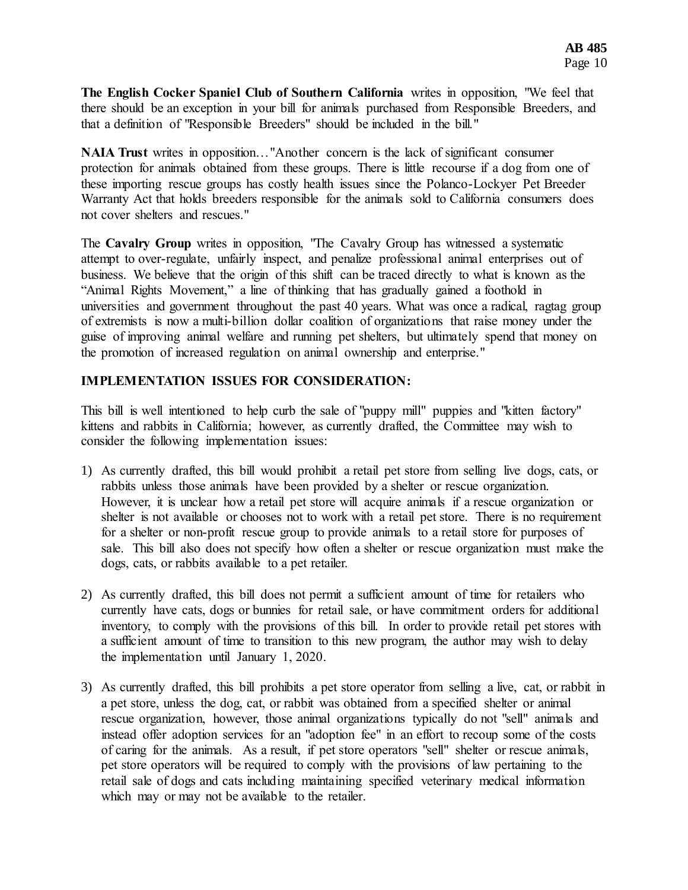**The English Cocker Spaniel Club of Southern California** writes in opposition, "We feel that there should be an exception in your bill for animals purchased from Responsible Breeders, and that a definition of "Responsible Breeders" should be included in the bill."

**NAIA Trust** writes in opposition…"Another concern is the lack of significant consumer protection for animals obtained from these groups. There is little recourse if a dog from one of these importing rescue groups has costly health issues since the Polanco-Lockyer Pet Breeder Warranty Act that holds breeders responsible for the animals sold to California consumers does not cover shelters and rescues."

The **Cavalry Group** writes in opposition, "The Cavalry Group has witnessed a systematic attempt to over-regulate, unfairly inspect, and penalize professional animal enterprises out of business. We believe that the origin of this shift can be traced directly to what is known as the "Animal Rights Movement," a line of thinking that has gradually gained a foothold in universities and government throughout the past 40 years. What was once a radical, ragtag group of extremists is now a multi-billion dollar coalition of organizations that raise money under the guise of improving animal welfare and running pet shelters, but ultimately spend that money on the promotion of increased regulation on animal ownership and enterprise."

## **IMPLEMENTATION ISSUES FOR CONSIDERATION:**

This bill is well intentioned to help curb the sale of "puppy mill" puppies and "kitten factory" kittens and rabbits in California; however, as currently drafted, the Committee may wish to consider the following implementation issues:

- 1) As currently drafted, this bill would prohibit a retail pet store from selling live dogs, cats, or rabbits unless those animals have been provided by a shelter or rescue organization. However, it is unclear how a retail pet store will acquire animals if a rescue organization or shelter is not available or chooses not to work with a retail pet store. There is no requirement for a shelter or non-profit rescue group to provide animals to a retail store for purposes of sale. This bill also does not specify how often a shelter or rescue organization must make the dogs, cats, or rabbits available to a pet retailer.
- 2) As currently drafted, this bill does not permit a sufficient amount of time for retailers who currently have cats, dogs or bunnies for retail sale, or have commitment orders for additional inventory, to comply with the provisions of this bill. In order to provide retail pet stores with a sufficient amount of time to transition to this new program, the author may wish to delay the implementation until January 1, 2020.
- 3) As currently drafted, this bill prohibits a pet store operator from selling a live, cat, or rabbit in a pet store, unless the dog, cat, or rabbit was obtained from a specified shelter or animal rescue organization, however, those animal organizations typically do not "sell" animals and instead offer adoption services for an "adoption fee" in an effort to recoup some of the costs of caring for the animals. As a result, if pet store operators "sell" shelter or rescue animals, pet store operators will be required to comply with the provisions of law pertaining to the retail sale of dogs and cats including maintaining specified veterinary medical information which may or may not be available to the retailer.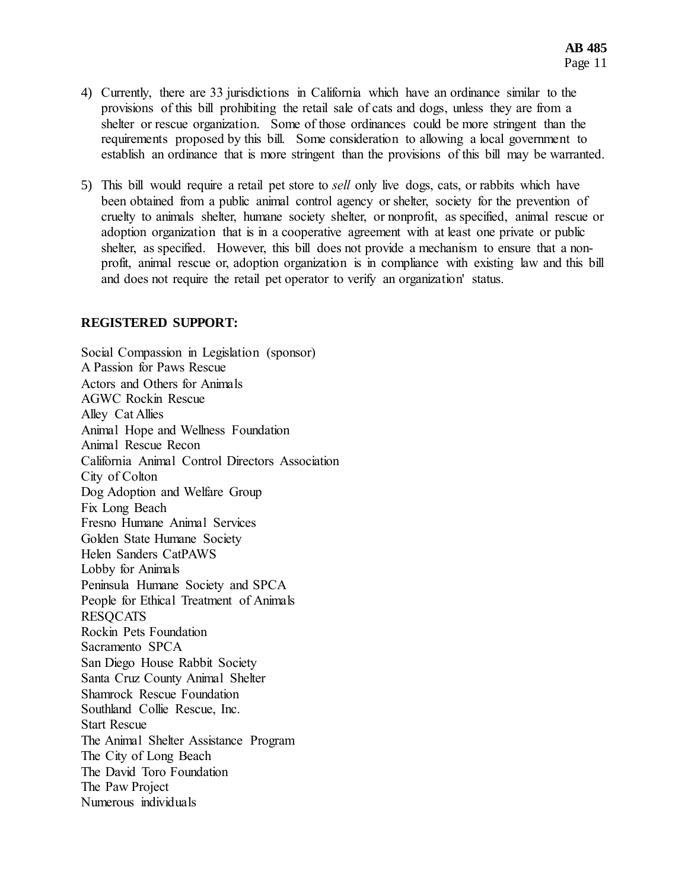- 4) Currently, there are 33 jurisdictions in California which have an ordinance similar to the provisions of this bill prohibiting the retail sale of cats and dogs, unless they are from a shelter or rescue organization. Some of those ordinances could be more stringent than the requirements proposed by this bill. Some consideration to allowing a local government to establish an ordinance that is more stringent than the provisions of this bill may be warranted.
- 5) This bill would require a retail pet store to *sell* only live dogs, cats, or rabbits which have been obtained from a public animal control agency or shelter, society for the prevention of cruelty to animals shelter, humane society shelter, or nonprofit, as specified, animal rescue or adoption organization that is in a cooperative agreement with at least one private or public shelter, as specified. However, this bill does not provide a mechanism to ensure that a nonprofit, animal rescue or, adoption organization is in compliance with existing law and this bill and does not require the retail pet operator to verify an organization' status.

#### **REGISTERED SUPPORT:**

Social Compassion in Legislation (sponsor) A Passion for Paws Rescue Actors and Others for Animals AGWC Rockin Rescue Alley Cat Allies Animal Hope and Wellness Foundation Animal Rescue Recon California Animal Control Directors Association City of Colton Dog Adoption and Welfare Group Fix Long Beach Fresno Humane Animal Services Golden State Humane Society Helen Sanders CatPAWS Lobby for Animals Peninsula Humane Society and SPCA People for Ethical Treatment of Animals **RESOCATS** Rockin Pets Foundation Sacramento SPCA San Diego House Rabbit Society Santa Cruz County Animal Shelter Shamrock Rescue Foundation Southland Collie Rescue, Inc. Start Rescue The Animal Shelter Assistance Program The City of Long Beach The David Toro Foundation The Paw Project Numerous individuals